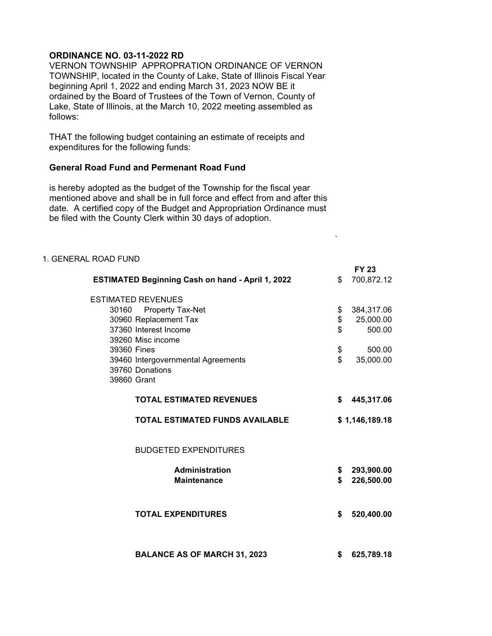## **ORDINANCE NO. 03-11-2022 RD**

VERNON TOWNSHIP APPROPRATION ORDINANCE OF VERNON TOWNSHIP, located in the County of Lake, State of Illinois Fiscal Year beginning April 1, 2022 and ending March 31, 2023 NOW BE it ordained by the Board of Trustees of the Town of Vernon, County of Lake, State of Illinois, at the March 10, 2022 meeting assembled as follows:

THAT the following budget containing an estimate of receipts and expenditures for the following funds:

## **General Road Fund and Permenant Road Fund**

is hereby adopted as the budget of the Township for the fiscal year mentioned above and shall be in full force and effect from and after this date. A certified copy of the Budget and Appropriation Ordinance must be filed with the County Clerk within 30 days of adoption.

| 1. GENERAL ROAD FUND      |                                                               |                          |
|---------------------------|---------------------------------------------------------------|--------------------------|
|                           |                                                               | <b>FY 23</b>             |
|                           | <b>ESTIMATED Beginning Cash on hand - April 1, 2022</b><br>\$ | 700,872.12               |
| <b>ESTIMATED REVENUES</b> |                                                               |                          |
| 30160 Property Tax-Net    | \$                                                            | 384,317.06               |
| 30960 Replacement Tax     | \$                                                            | 25,000.00                |
| 37360 Interest Income     | \$                                                            | 500.00                   |
| 39260 Misc income         |                                                               |                          |
| 39360 Fines               | \$                                                            | 500.00                   |
|                           | \$<br>39460 Intergovernmental Agreements                      | 35,000.00                |
| 39760 Donations           |                                                               |                          |
| 39860 Grant               |                                                               |                          |
|                           | <b>TOTAL ESTIMATED REVENUES</b><br>\$                         | 445,317.06               |
|                           | <b>TOTAL ESTIMATED FUNDS AVAILABLE</b>                        | \$1,146,189.18           |
|                           | <b>BUDGETED EXPENDITURES</b>                                  |                          |
|                           | <b>Administration</b>                                         |                          |
|                           | \$<br>\$<br><b>Maintenance</b>                                | 293,900.00<br>226,500.00 |
|                           |                                                               |                          |
|                           |                                                               |                          |
|                           | <b>TOTAL EXPENDITURES</b><br>\$                               | 520,400.00               |
|                           |                                                               |                          |
|                           | <b>BALANCE AS OF MARCH 31, 2023</b><br>\$                     | 625,789.18               |

`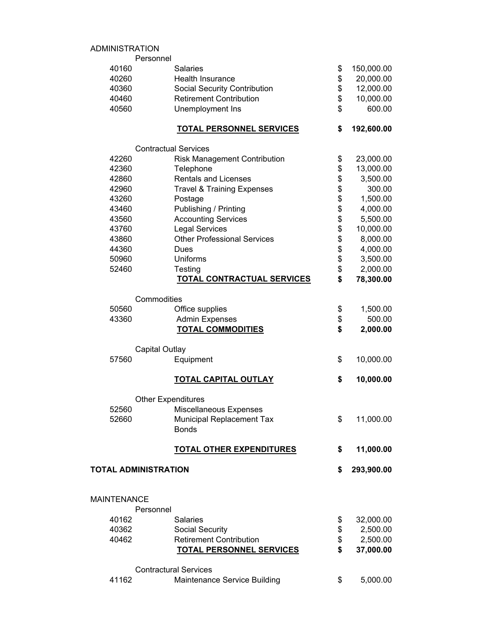## ADMINISTRATION

|                    | Personnel                             |                  |
|--------------------|---------------------------------------|------------------|
| 40160              | <b>Salaries</b>                       | \$<br>150,000.00 |
| 40260              | Health Insurance                      | \$<br>20,000.00  |
| 40360              | <b>Social Security Contribution</b>   | \$<br>12,000.00  |
| 40460              | <b>Retirement Contribution</b>        | \$<br>10,000.00  |
| 40560              | Unemployment Ins                      | \$<br>600.00     |
|                    | <b>TOTAL PERSONNEL SERVICES</b>       | \$<br>192,600.00 |
|                    | <b>Contractual Services</b>           |                  |
| 42260              | <b>Risk Management Contribution</b>   | \$<br>23,000.00  |
| 42360              | Telephone                             | \$<br>13,000.00  |
| 42860              | <b>Rentals and Licenses</b>           | \$<br>3,500.00   |
| 42960              | <b>Travel &amp; Training Expenses</b> | \$<br>300.00     |
| 43260              | Postage                               | \$<br>1,500.00   |
| 43460              | Publishing / Printing                 | \$<br>4,000.00   |
| 43560              | <b>Accounting Services</b>            | \$<br>5,500.00   |
| 43760              | <b>Legal Services</b>                 | \$<br>10,000.00  |
| 43860              | <b>Other Professional Services</b>    | \$<br>8,000.00   |
| 44360              | Dues                                  | \$<br>4,000.00   |
| 50960              | <b>Uniforms</b>                       | \$<br>3,500.00   |
| 52460              | Testing                               | \$<br>2,000.00   |
|                    | <b>TOTAL CONTRACTUAL SERVICES</b>     | \$<br>78,300.00  |
|                    | Commodities                           |                  |
| 50560              | Office supplies                       | \$<br>1,500.00   |
| 43360              | <b>Admin Expenses</b>                 | \$<br>500.00     |
|                    | <b>TOTAL COMMODITIES</b>              | \$<br>2,000.00   |
|                    | <b>Capital Outlay</b>                 |                  |
| 57560              | Equipment                             | \$<br>10,000.00  |
|                    | <b>TOTAL CAPITAL OUTLAY</b>           | \$<br>10,000.00  |
|                    | <b>Other Expenditures</b>             |                  |
| 52560              | Miscellaneous Expenses                |                  |
| 52660              | <b>Municipal Replacement Tax</b>      | \$<br>11,000.00  |
|                    | <b>Bonds</b>                          |                  |
|                    | <b>TOTAL OTHER EXPENDITURES</b>       | \$<br>11,000.00  |
|                    | <b>TOTAL ADMINISTRATION</b>           | \$<br>293,900.00 |
|                    |                                       |                  |
| <b>MAINTENANCE</b> |                                       |                  |
|                    | Personnel                             |                  |
| 40162              | <b>Salaries</b>                       | \$<br>32,000.00  |
| 40362              | Social Security                       | \$<br>2,500.00   |
| 40462              | <b>Retirement Contribution</b>        | \$<br>2,500.00   |
|                    | <b>TOTAL PERSONNEL SERVICES</b>       | \$<br>37,000.00  |
|                    | <b>Contractural Services</b>          |                  |
| 41162              | Maintenance Service Building          | \$<br>5,000.00   |
|                    |                                       |                  |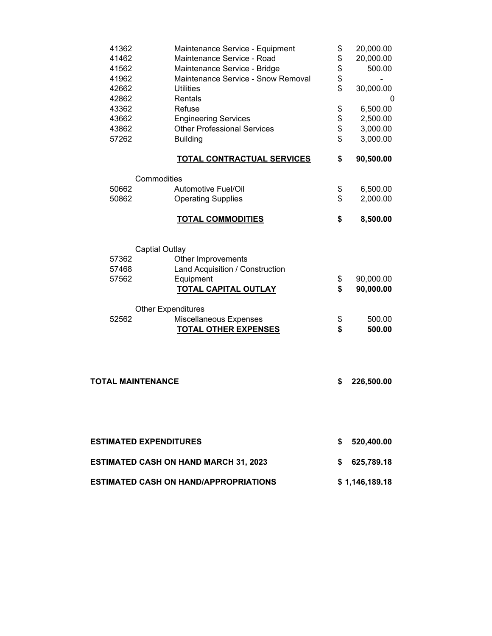| 41362<br>41462<br>41562       | Maintenance Service - Equipment<br>Maintenance Service - Road<br>Maintenance Service - Bridge | \$<br>\$<br>\$ | 20,000.00<br>20,000.00<br>500.00 |
|-------------------------------|-----------------------------------------------------------------------------------------------|----------------|----------------------------------|
| 41962<br>42662<br>42862       | Maintenance Service - Snow Removal<br><b>Utilities</b><br>Rentals                             | \$<br>\$       | 30,000.00<br>0                   |
| 43362                         | Refuse                                                                                        | \$             | 6,500.00                         |
| 43662                         | <b>Engineering Services</b>                                                                   | \$             | 2,500.00                         |
| 43862                         | <b>Other Professional Services</b>                                                            | \$             | 3,000.00                         |
| 57262                         | <b>Building</b>                                                                               | \$             | 3,000.00                         |
|                               | <b>TOTAL CONTRACTUAL SERVICES</b>                                                             | \$             | 90,500.00                        |
|                               | Commodities                                                                                   |                |                                  |
| 50662                         | <b>Automotive Fuel/Oil</b>                                                                    | \$             | 6,500.00                         |
| 50862                         | <b>Operating Supplies</b>                                                                     | \$             | 2,000.00                         |
|                               | <b>TOTAL COMMODITIES</b>                                                                      | \$             | 8,500.00                         |
|                               | <b>Captial Outlay</b>                                                                         |                |                                  |
| 57362                         | Other Improvements                                                                            |                |                                  |
| 57468                         | Land Acquisition / Construction                                                               |                |                                  |
| 57562                         | Equipment                                                                                     | \$             | 90,000.00                        |
|                               | <b>TOTAL CAPITAL OUTLAY</b>                                                                   | \$             | 90,000.00                        |
|                               | <b>Other Expenditures</b>                                                                     |                |                                  |
| 52562                         | Miscellaneous Expenses                                                                        | \$             | 500.00                           |
|                               | <b>TOTAL OTHER EXPENSES</b>                                                                   | \$             | 500.00                           |
|                               |                                                                                               |                |                                  |
| <b>TOTAL MAINTENANCE</b>      |                                                                                               | \$             | 226,500.00                       |
|                               |                                                                                               |                |                                  |
| <b>ESTIMATED EXPENDITURES</b> |                                                                                               | \$             | 520,400.00                       |
|                               | <b>ESTIMATED CASH ON HAND MARCH 31, 2023</b>                                                  |                | \$625,789.18                     |
|                               | ESTIMATED CASH ON HAND/APPROPRIATIONS                                                         |                | \$1,146,189.18                   |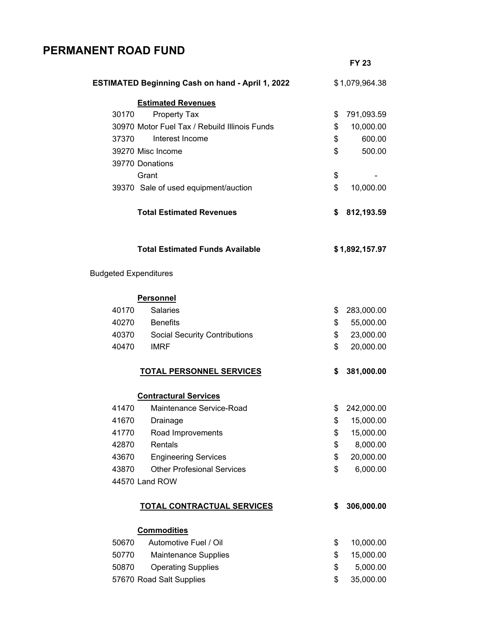## **PERMANENT ROAD FUND**

|                              |                                                         | <b>FY 23</b>     |
|------------------------------|---------------------------------------------------------|------------------|
|                              | <b>ESTIMATED Beginning Cash on hand - April 1, 2022</b> | \$1,079,964.38   |
|                              | <b>Estimated Revenues</b>                               |                  |
| 30170                        | <b>Property Tax</b>                                     | \$<br>791,093.59 |
|                              | 30970 Motor Fuel Tax / Rebuild Illinois Funds           | \$<br>10,000.00  |
| 37370                        | Interest Income                                         | \$<br>600.00     |
|                              | 39270 Misc Income                                       | \$<br>500.00     |
|                              | 39770 Donations                                         |                  |
|                              | Grant                                                   | \$               |
|                              | 39370 Sale of used equipment/auction                    | \$<br>10,000.00  |
|                              | <b>Total Estimated Revenues</b>                         | \$<br>812,193.59 |
|                              | <b>Total Estimated Funds Available</b>                  | \$1,892,157.97   |
| <b>Budgeted Expenditures</b> |                                                         |                  |
|                              | <b>Personnel</b>                                        |                  |
| 40170                        | <b>Salaries</b>                                         | \$<br>283,000.00 |
| 40270                        | <b>Benefits</b>                                         | \$<br>55,000.00  |
| 40370                        | <b>Social Security Contributions</b>                    | \$<br>23,000.00  |
| 40470                        | <b>IMRF</b>                                             | \$<br>20,000.00  |
|                              | <b>TOTAL PERSONNEL SERVICES</b>                         | \$<br>381,000.00 |
|                              | <b>Contractural Services</b>                            |                  |
| 41470                        | Maintenance Service-Road                                | \$<br>242,000.00 |
| 41670                        | Drainage                                                | \$<br>15,000.00  |
| 41770                        | Road Improvements                                       | \$<br>15,000.00  |
| 42870                        | Rentals                                                 | \$<br>8,000.00   |
| 43670                        | <b>Engineering Services</b>                             | \$<br>20,000.00  |
| 43870                        | <b>Other Profesional Services</b>                       | \$<br>6,000.00   |
|                              | 44570 Land ROW                                          |                  |
|                              | <b>TOTAL CONTRACTUAL SERVICES</b>                       | \$<br>306,000.00 |
|                              | <b>Commodities</b>                                      |                  |
| 50670                        | Automotive Fuel / Oil                                   | \$<br>10,000.00  |
| 50770                        | <b>Maintenance Supplies</b>                             | \$<br>15,000.00  |
| 50870                        | <b>Operating Supplies</b>                               | \$<br>5,000.00   |
|                              | 57670 Road Salt Supplies                                | \$<br>35,000.00  |